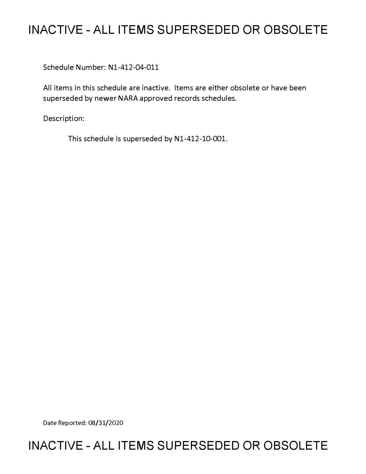# **INACTIVE - ALL ITEMS SUPERSEDED OR OBSOLETE**

Schedule Number: Nl-412-04-011

All items in this schedule are inactive. Items are either obsolete or have been superseded by newer NARA approved records schedules.

Description:

This schedule is superseded by Nl-412-10-001.

Date Reported: 08/31/2020

# **INACTIVE - ALL ITEMS SUPERSEDED OR OBSOLETE**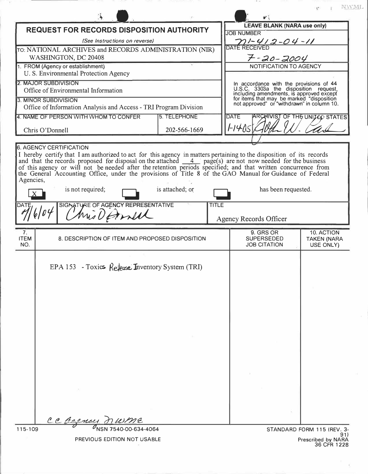|                                                                                                                                                                                                                                                                                                                                                                                                                                                                             |                 |                                                                                                                                                                                                                         | NWML.                           |
|-----------------------------------------------------------------------------------------------------------------------------------------------------------------------------------------------------------------------------------------------------------------------------------------------------------------------------------------------------------------------------------------------------------------------------------------------------------------------------|-----------------|-------------------------------------------------------------------------------------------------------------------------------------------------------------------------------------------------------------------------|---------------------------------|
| <b>REQUEST FOR RECORDS DISPOSITION AUTHORITY</b>                                                                                                                                                                                                                                                                                                                                                                                                                            |                 | <b>LEAVE BLANK (NARA use only)</b>                                                                                                                                                                                      |                                 |
|                                                                                                                                                                                                                                                                                                                                                                                                                                                                             |                 | <b>JOB NUMBER</b>                                                                                                                                                                                                       |                                 |
| (See Instructions on reverse)                                                                                                                                                                                                                                                                                                                                                                                                                                               |                 | $201 - 412 - 04 - 11$<br>DATE RECEIVED                                                                                                                                                                                  |                                 |
| TO: NATIONAL ARCHIVES and RECORDS ADMINISTRATION (NIR)                                                                                                                                                                                                                                                                                                                                                                                                                      |                 |                                                                                                                                                                                                                         |                                 |
| WASHINGTON, DC 20408                                                                                                                                                                                                                                                                                                                                                                                                                                                        |                 | $7 - 20 - 2004$                                                                                                                                                                                                         |                                 |
| 1. FROM (Agency or establishment)                                                                                                                                                                                                                                                                                                                                                                                                                                           |                 | NOTIFICATION TO AGENCY                                                                                                                                                                                                  |                                 |
| U. S. Environmental Protection Agency                                                                                                                                                                                                                                                                                                                                                                                                                                       |                 |                                                                                                                                                                                                                         |                                 |
| <b>2. MAJOR SUBDIVISION</b><br>Office of Environmental Information                                                                                                                                                                                                                                                                                                                                                                                                          |                 | In accordance with the provisions of 44<br>U.S.C. 3303a the disposition request,<br>including amendments, is approved except<br>for items that may be marked "disposition<br>not approved" or "withdrawn" in column 10. |                                 |
|                                                                                                                                                                                                                                                                                                                                                                                                                                                                             |                 |                                                                                                                                                                                                                         |                                 |
| 3. MINOR SUBDIVISION                                                                                                                                                                                                                                                                                                                                                                                                                                                        |                 |                                                                                                                                                                                                                         |                                 |
| Office of Information Analysis and Access - TRI Program Division                                                                                                                                                                                                                                                                                                                                                                                                            |                 |                                                                                                                                                                                                                         |                                 |
| 4. NAME OF PERSON WITH WHOM TO CONFER                                                                                                                                                                                                                                                                                                                                                                                                                                       | 5. TELEPHONE    | <b>DATE</b>                                                                                                                                                                                                             | ARCHIVIST OF THE UNITED STATES  |
| 202-566-1669<br>Chris O'Donnell                                                                                                                                                                                                                                                                                                                                                                                                                                             |                 | 1-14-05                                                                                                                                                                                                                 |                                 |
|                                                                                                                                                                                                                                                                                                                                                                                                                                                                             |                 |                                                                                                                                                                                                                         |                                 |
| <b>6. AGENCY CERTIFICATION</b>                                                                                                                                                                                                                                                                                                                                                                                                                                              |                 |                                                                                                                                                                                                                         |                                 |
| I hereby certify that I am authorized to act for this agency in matters pertaining to the disposition of its records and that the records proposed for disposal on the attached $\frac{4}{-4}$ page(s) are not now needed for the<br>of this agency or will not be needed after the retention periods specified; and that written concurrence from<br>the General Accounting Office, under the provisions of Title 8 of the GAO Manual for Guidance of Federal<br>Agencies, |                 |                                                                                                                                                                                                                         |                                 |
| is not required;                                                                                                                                                                                                                                                                                                                                                                                                                                                            | is attached; or | has been requested.                                                                                                                                                                                                     |                                 |
| SIGNATURE OF AGENCY REPRESENTATIVE<br><b>TITLE</b><br>DATE<br>Mis Dannel                                                                                                                                                                                                                                                                                                                                                                                                    |                 | Agency Records Officer                                                                                                                                                                                                  |                                 |
| 7.                                                                                                                                                                                                                                                                                                                                                                                                                                                                          |                 | 9. GRS OR                                                                                                                                                                                                               | 10. ACTION                      |
| <b>ITEM</b><br>8. DESCRIPTION OF ITEM AND PROPOSED DISPOSITION<br>NO.                                                                                                                                                                                                                                                                                                                                                                                                       |                 | <b>SUPERSEDED</b><br><b>JOB CITATION</b>                                                                                                                                                                                | <b>TAKEN (NARA</b><br>USE ONLY) |
| EPA 153 - Toxics Referse Inventory System (TRI)                                                                                                                                                                                                                                                                                                                                                                                                                             |                 |                                                                                                                                                                                                                         |                                 |
|                                                                                                                                                                                                                                                                                                                                                                                                                                                                             |                 |                                                                                                                                                                                                                         |                                 |
|                                                                                                                                                                                                                                                                                                                                                                                                                                                                             |                 |                                                                                                                                                                                                                         |                                 |
|                                                                                                                                                                                                                                                                                                                                                                                                                                                                             |                 |                                                                                                                                                                                                                         |                                 |
|                                                                                                                                                                                                                                                                                                                                                                                                                                                                             |                 |                                                                                                                                                                                                                         |                                 |
|                                                                                                                                                                                                                                                                                                                                                                                                                                                                             |                 |                                                                                                                                                                                                                         |                                 |
|                                                                                                                                                                                                                                                                                                                                                                                                                                                                             |                 |                                                                                                                                                                                                                         |                                 |
|                                                                                                                                                                                                                                                                                                                                                                                                                                                                             |                 |                                                                                                                                                                                                                         |                                 |
|                                                                                                                                                                                                                                                                                                                                                                                                                                                                             |                 |                                                                                                                                                                                                                         |                                 |
| CC Beeney                                                                                                                                                                                                                                                                                                                                                                                                                                                                   |                 |                                                                                                                                                                                                                         |                                 |
| 115-109                                                                                                                                                                                                                                                                                                                                                                                                                                                                     |                 | STANDARD FORM 115 (REV. 3-<br>91)                                                                                                                                                                                       |                                 |
| <b>DDEVIOUS EDITION NOT USADLE</b>                                                                                                                                                                                                                                                                                                                                                                                                                                          |                 |                                                                                                                                                                                                                         |                                 |

VIOUS EDITION NOT USABLE

Prescribed by NARA<br>36 CFR 1228

 $\frac{1}{2}$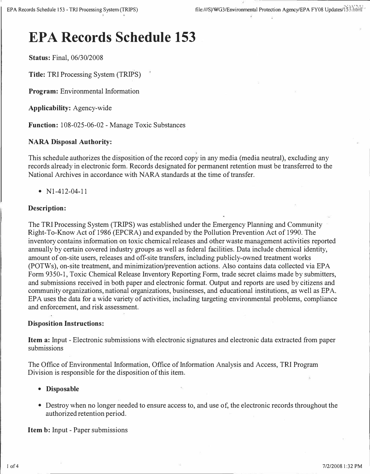# **EPA Records Schedule 153**

**Status:** Final, 06/30/2008

**Title:** TRI Processing System (TRIPS)

**Program:** Environmental Information

**Applicability:** Agency-wide

**Function:** 108-025-06-02 - Manage Toxic Substances

## **NARA Disposal Authority:**

This schedule authorizes the disposition of the record copy in any media (media neutral), excluding any records already in electronic form. Records designated for permanent retention must be transferred to the National Archives in accordance with NARA standards at the time of transfer.

•  $N1-412-04-11$ 

#### **Description:**

The TRI Processing System (TRIPS) was established under the Emergency Planning and Community Right-To-Know Act of 1986 (EPCRA) and expanded by the Pollution Prevention Act of 1990. The inventory contains information on toxic chemical releases and other waste management activities reported annually by certain covered industry groups as well as federal facilities. Data include chemical identity, amount of on-site users, releases and off-site transfers, including publicly-owned treatment works (POTWs), on-site treatment, and minimization/prevention actions. Also contains data collected via EPA Form 9350-1, Toxic Chemical Release Inventory Reporting Form, trade secret claims made by submitters, and submissions received in both paper and electronic format. Output and reports are used by citizens and community organizations, national organizations, businesses, and educational institutions, as well as EPA. EPA uses the data for a wide variety of activities, including targeting environmental problems, compliance and enforcement, and risk assessment.

#### **Disposition Instructions:**

**Item a:** Input - Electronic submissions with electronic signatures and electronic data extracted from paper submissions

The Office of Environmental Information, Office of Information Analysis and Access, TRI Program Division is responsible for the disposition of this item.

#### **• Disposable**

• Destroy when no longer needed to ensure access to, and use of, the electronic records throughout the authorized retention period.

**Item b:** Input - Paper submissions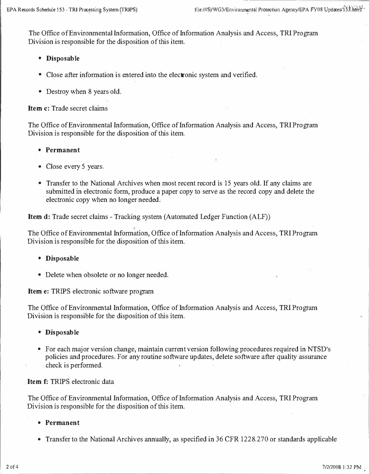The Office of Environmental Information, Office of Information Analysis and Access, TRI Program Division is responsible for the disposition of this item.

- **Disposable**
- Close after information is entered into the electronic system and verified.
- Destroy when 8 years old.

**Item c:** Trade secret claims

The Office of Environmental Information, Office of Information Analysis and Access, TRI Program Division is responsible for the disposition of this item.

- **Permanent**
- Close every 5 years.
- Transfer to the National Archives when most recent record is 15 years old. If any claims are submitted in electronic form, produce a paper copy to serve as the record copy and delete the electronic copy when no longer needed.

**Item d:** Trade secret claims - Tracking system (Automated Ledger Function (ALF))

The Office of Environmental Information, Office of Information Analysis and Access, TRI Program Division is responsible for the disposition of this item.

- **Disposable**
- Delete when obsolete or no longer needed.

**Item e:** TRIPS electronic software program

The Office of Environmental Information, Office of Information Analysis and Access, TRI Program Division is responsible for the disposition of this item.

- **Disposable**
- For each major version change, maintain current version following procedures required in NTSD's policies and procedures. For any routine software updates, delete software after quality assurance check is performed.

### **Item** f: TRIPS electronic data

The Office of Environmental Information, Office of Information Analysis and Access, TRI Program Division is responsible for the disposition of this item.

- **Permanent**
- Transfer to the National Archives annually, as specified in 36 CFR 1228.270 or standards applicable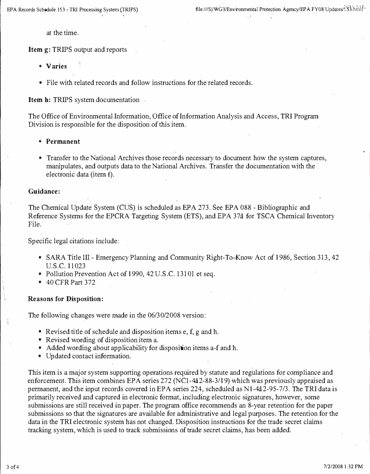at the time.

**Item g:** TRIPS output and reports

- **Varies**
- File with related records and follow instructions for the related records.

**Item h: TRIPS system documentation** 

The Office of Environmental Information, Office of Information Analysis and Access, TRI Program Division is responsible for the disposition of this item.

- **Permanent**
- Transfer to the National Archives those records necessary to document how the system captures, manipulates, and outputs data to the National Archives. Transfer the documentation with the electronic data (item f).

#### **Guidance:**

The Chemical Update System (CUS) is scheduled as EPA 273. See EPA 088 - Bibliographic and Reference Systems for the EPCRA Targeting System (ETS), and EPA 37a for TSCA Chemical Inventory File.

Specific legal citations include:

- SARA Title III Emergency Planning and Community Right-To-Know Act of 1986, Section 313, 42 U.S.C. 11023
- Pollution Prevention Act of 1990, 42 U.S.C. 13101 et seq.
- 40 CFR Part 372

#### **Reasons for Disposition:**

The following changes were made in the 06/30/2008 version:

- Revised title of schedule and disposition items  $e, f, g$  and  $h$ .
- Revised wording of disposition item a.
- Added wording about applicability for disposition items a-f and h.
- Updated contact information.

This item is a major system supporting operations required by statute and regulations for compliance and enforcement. This item combines EPA series 272 (NC1-442-88-3/19) which was previously appraised as permanent, and the input records covered in EPA series 224, scheduled as Nl-4a2-95-7/3. The TRI data is primarily received and captured in electronic format, including electronic signatures, however, some submissions are still received in paper. The program office recommends an 8-year retention for the paper submissions so that the signatures are available for administrative and legal purposes. The retention for the data in the TRI electronic system has not changed. Disposition instructions for the trade secret claims tracking system, which is used to track submissions of trade secret claims, has been added.